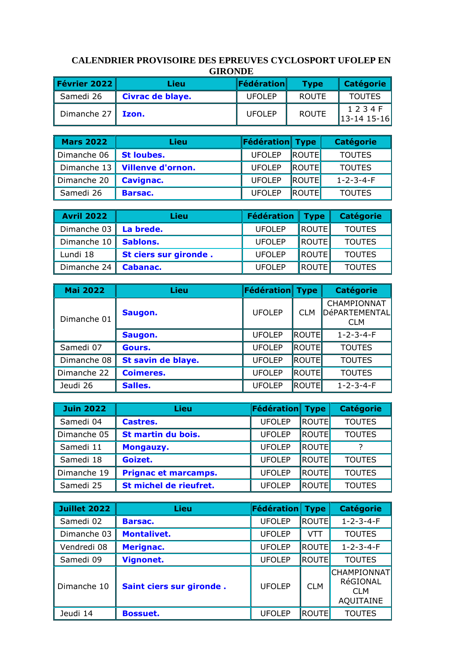## **CALENDRIER PROVISOIRE DES EPREUVES CYCLOSPORT UFOLEP EN GIRONDE**

| Février 2022 $\parallel$         | Lieu             | <b>Fédération</b> | <b>Type</b>  | <b>Catégorie</b>              |
|----------------------------------|------------------|-------------------|--------------|-------------------------------|
| Samedi 26                        | Civrac de blaye. | <b>UFOLEP</b>     | <b>ROUTE</b> | <b>TOUTES</b>                 |
| Dimanche 27 $\vert$ <b>Izon.</b> |                  | <b>UFOLEP</b>     | <b>ROUTE</b> | 1 2 3 4 F<br>$13 - 1415 - 16$ |

| <b>Mars 2022</b> | Lieu                            | Fédération Type |                | <b>Catégorie</b>    |
|------------------|---------------------------------|-----------------|----------------|---------------------|
| Dimanche 06      | <b>St loubes.</b>               | <b>UFOLEP</b>   | ROUTE          | <b>TOUTES</b>       |
|                  | Dimanche 13   Villenve d'ornon. | <b>UFOLEP</b>   | <b>IROUTE</b>  | <b>TOUTES</b>       |
| Dimanche 20      | <b>Cavignac.</b>                | <b>UFOLEP</b>   | <b>ROUTE</b>   | $1 - 2 - 3 - 4 - F$ |
| Samedi 26        | Barsac.                         | <b>UFOLEP</b>   | <b>IROUTEL</b> | <b>TOUTES</b>       |

| <b>Avril 2022</b>             | Lieu                  | Fédération   Type |               | <b>Catégorie</b> |
|-------------------------------|-----------------------|-------------------|---------------|------------------|
| Dimanche 03 $\vert$ La brede. |                       | <b>UFOLEP</b>     | <b>ROUTE</b>  | <b>TOUTES</b>    |
| Dimanche 10   Sablons.        |                       | <b>UFOLEP</b>     | <b>ROUTE</b>  | <b>TOUTES</b>    |
| Lundi 18                      | St ciers sur gironde. | <b>UFOLEP</b>     | <b>ROUTE</b>  | <b>TOUTES</b>    |
| Dimanche 24 $\parallel$       | Cabanac.              | <b>UFOLEP</b>     | <b>IROUTE</b> | <b>TOUTES</b>    |

| <b>Mai 2022</b> | Lieu               | Fédération Type |            | <b>Catégorie</b>                           |
|-----------------|--------------------|-----------------|------------|--------------------------------------------|
| Dimanche 01     | Saugon.            | <b>UFOLEP</b>   | <b>CLM</b> | CHAMPIONNAT<br>DéPARTEMENTAL<br><b>CLM</b> |
|                 | Saugon.            | <b>UFOLEP</b>   | ROUTE      | $1 - 2 - 3 - 4 - F$                        |
| Samedi 07       | Gours.             | <b>UFOLEP</b>   | ROUTE      | <b>TOUTES</b>                              |
| Dimanche 08     | St savin de blaye. | <b>UFOLEP</b>   | ROUTE      | <b>TOUTES</b>                              |
| Dimanche 22     | <b>Coimeres.</b>   | <b>UFOLEP</b>   | ROUTE      | <b>TOUTES</b>                              |
| Jeudi 26        | Salles.            | <b>UFOLEP</b>   | ROUTE      | $1 - 2 - 3 - 4 - F$                        |

| <b>Juin 2022</b> | Lieu                        | Fédération Type |               | <b>Catégorie</b> |
|------------------|-----------------------------|-----------------|---------------|------------------|
| Samedi 04        | Castres.                    | <b>UFOLEP</b>   | <b>IROUTE</b> | <b>TOUTES</b>    |
| Dimanche 05      | St martin du bois.          | <b>UFOLEP</b>   | ROUTE         | <b>TOUTES</b>    |
| Samedi 11        | Mongauzy.                   | <b>UFOLEP</b>   | <b>IROUTE</b> |                  |
| Samedi 18        | Goizet.                     | <b>UFOLEP</b>   | <b>ROUTE</b>  | <b>TOUTES</b>    |
| Dimanche 19      | <b>Prignac et marcamps.</b> | <b>UFOLEP</b>   | <b>ROUTE</b>  | <b>TOUTES</b>    |
| Samedi 25        | St michel de rieufret.      | <b>UFOLEP</b>   | ROUTE         | <b>TOUTES</b>    |

| <b>Juillet 2022</b> | Lieu                     | <b>Fédération</b> | <b>Type</b>    | <b>Catégorie</b>                                                 |
|---------------------|--------------------------|-------------------|----------------|------------------------------------------------------------------|
| Samedi 02           | Barsac.                  | <b>UFOLEP</b>     | <b>ROUTE</b>   | $1 - 2 - 3 - 4 - F$                                              |
| Dimanche 03         | <b>Montalivet.</b>       | <b>UFOLEP</b>     | VTT            | <b>TOUTES</b>                                                    |
| Vendredi 08         | Merignac.                | <b>UFOLEP</b>     | <b>IROUTEI</b> | $1 - 2 - 3 - 4 - F$                                              |
| Samedi 09           | <b>Vignonet.</b>         | <b>UFOLEP</b>     | <b>ROUTE</b>   | <b>TOUTES</b>                                                    |
| l Dimanche 10       | Saint ciers sur gironde. | <b>UFOLEP</b>     | <b>CLM</b>     | <b>CHAMPIONNAT</b><br>RéGIONAL<br><b>CLM</b><br><b>AQUITAINE</b> |
| Jeudi 14            | <b>Bossuet.</b>          | <b>UFOLEP</b>     | ROUTE          | <b>TOUTES</b>                                                    |